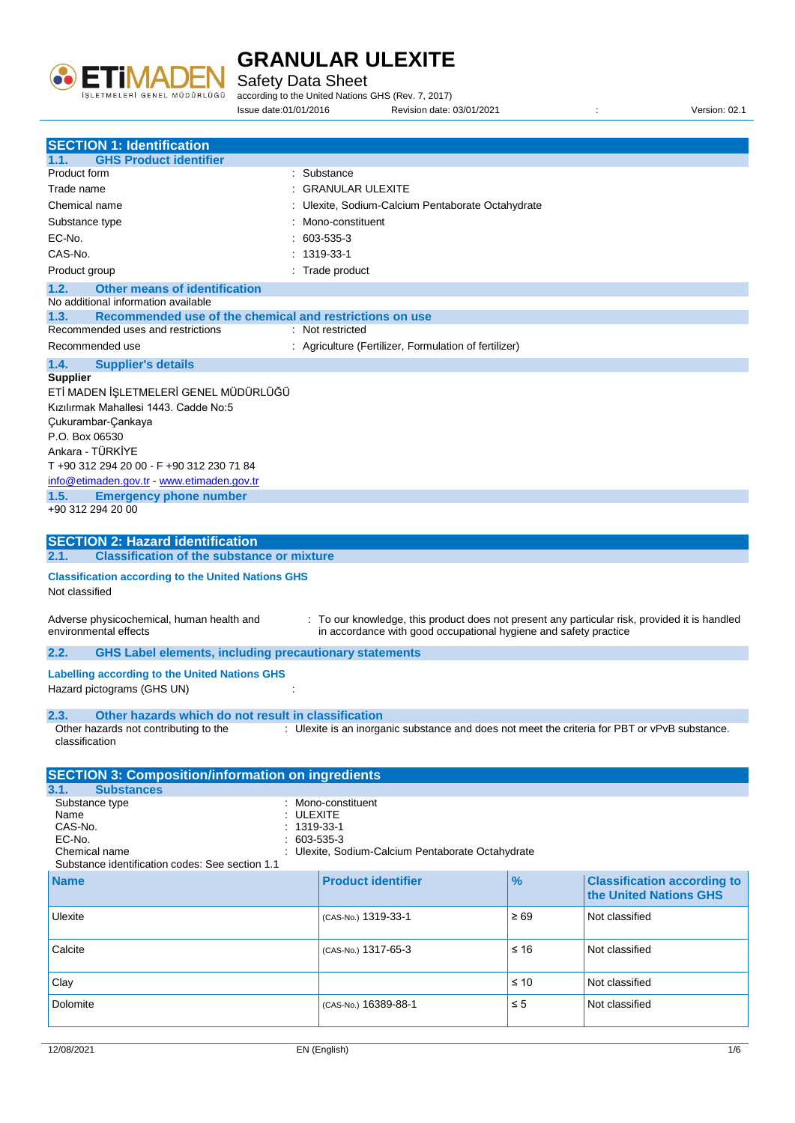

Safety Data Sheet

according to the United Nations GHS (Rev. 7, 2017)

Issue date:01/01/2016 Revision date: 03/01/2021 : Version: 02.1

| <b>SECTION 1: Identification</b>                                                                                                                                                                                                                                                                                                                                                                                                                                                                                                                                                                                                                                                                  |                                                                                                                                                                   |           |                                                              |  |
|---------------------------------------------------------------------------------------------------------------------------------------------------------------------------------------------------------------------------------------------------------------------------------------------------------------------------------------------------------------------------------------------------------------------------------------------------------------------------------------------------------------------------------------------------------------------------------------------------------------------------------------------------------------------------------------------------|-------------------------------------------------------------------------------------------------------------------------------------------------------------------|-----------|--------------------------------------------------------------|--|
| <b>GHS Product identifier</b><br>1.1.                                                                                                                                                                                                                                                                                                                                                                                                                                                                                                                                                                                                                                                             |                                                                                                                                                                   |           |                                                              |  |
| Product form                                                                                                                                                                                                                                                                                                                                                                                                                                                                                                                                                                                                                                                                                      | : Substance                                                                                                                                                       |           |                                                              |  |
| Trade name                                                                                                                                                                                                                                                                                                                                                                                                                                                                                                                                                                                                                                                                                        | <b>GRANULAR ULEXITE</b>                                                                                                                                           |           |                                                              |  |
| Chemical name                                                                                                                                                                                                                                                                                                                                                                                                                                                                                                                                                                                                                                                                                     | Ulexite, Sodium-Calcium Pentaborate Octahydrate                                                                                                                   |           |                                                              |  |
|                                                                                                                                                                                                                                                                                                                                                                                                                                                                                                                                                                                                                                                                                                   | Mono-constituent                                                                                                                                                  |           |                                                              |  |
| Substance type                                                                                                                                                                                                                                                                                                                                                                                                                                                                                                                                                                                                                                                                                    |                                                                                                                                                                   |           |                                                              |  |
| EC-No.                                                                                                                                                                                                                                                                                                                                                                                                                                                                                                                                                                                                                                                                                            | 603-535-3                                                                                                                                                         |           |                                                              |  |
| CAS-No.                                                                                                                                                                                                                                                                                                                                                                                                                                                                                                                                                                                                                                                                                           | 1319-33-1                                                                                                                                                         |           |                                                              |  |
| Product group                                                                                                                                                                                                                                                                                                                                                                                                                                                                                                                                                                                                                                                                                     | : Trade product                                                                                                                                                   |           |                                                              |  |
| <b>Other means of identification</b><br>1.2.<br>No additional information available                                                                                                                                                                                                                                                                                                                                                                                                                                                                                                                                                                                                               |                                                                                                                                                                   |           |                                                              |  |
| 1.3.<br>Recommended use of the chemical and restrictions on use                                                                                                                                                                                                                                                                                                                                                                                                                                                                                                                                                                                                                                   |                                                                                                                                                                   |           |                                                              |  |
| Recommended uses and restrictions                                                                                                                                                                                                                                                                                                                                                                                                                                                                                                                                                                                                                                                                 | : Not restricted                                                                                                                                                  |           |                                                              |  |
| Recommended use                                                                                                                                                                                                                                                                                                                                                                                                                                                                                                                                                                                                                                                                                   | : Agriculture (Fertilizer, Formulation of fertilizer)                                                                                                             |           |                                                              |  |
| 1.4.<br><b>Supplier's details</b><br><b>Supplier</b><br>ETİ MADEN İŞLETMELERİ GENEL MÜDÜRLÜĞÜ<br>Kızılırmak Mahallesi 1443, Cadde No:5<br>Cukurambar-Cankaya<br>P.O. Box 06530<br>Ankara - TÜRKİYE<br>T +90 312 294 20 00 - F +90 312 230 71 84<br>info@etimaden.gov.tr - www.etimaden.gov.tr<br>1.5.<br><b>Emergency phone number</b><br>+90 312 294 20 00<br><b>SECTION 2: Hazard identification</b><br><b>Classification of the substance or mixture</b><br>2.1.<br><b>Classification according to the United Nations GHS</b><br>Not classified<br>Adverse physicochemical, human health and<br>environmental effects<br><b>GHS Label elements, including precautionary statements</b><br>2.2. | : To our knowledge, this product does not present any particular risk, provided it is handled<br>in accordance with good occupational hygiene and safety practice |           |                                                              |  |
| <b>Labelling according to the United Nations GHS</b><br>Hazard pictograms (GHS UN)                                                                                                                                                                                                                                                                                                                                                                                                                                                                                                                                                                                                                |                                                                                                                                                                   |           |                                                              |  |
| 2.3.<br>Other hazards which do not result in classification                                                                                                                                                                                                                                                                                                                                                                                                                                                                                                                                                                                                                                       |                                                                                                                                                                   |           |                                                              |  |
| Other hazards not contributing to the<br>: Ulexite is an inorganic substance and does not meet the criteria for PBT or vPvB substance.<br>classification                                                                                                                                                                                                                                                                                                                                                                                                                                                                                                                                          |                                                                                                                                                                   |           |                                                              |  |
| <b>SECTION 3: Composition/information on ingredients</b><br>3.1.<br><b>Substances</b>                                                                                                                                                                                                                                                                                                                                                                                                                                                                                                                                                                                                             |                                                                                                                                                                   |           |                                                              |  |
| Substance type<br>Mono-constituent<br><b>ULEXITE</b><br>Name<br>1319-33-1<br>CAS-No.<br>EC-No.<br>603-535-3<br>Chemical name<br>Ulexite, Sodium-Calcium Pentaborate Octahydrate<br>Substance identification codes: See section 1.1                                                                                                                                                                                                                                                                                                                                                                                                                                                                |                                                                                                                                                                   |           |                                                              |  |
| <b>Name</b>                                                                                                                                                                                                                                                                                                                                                                                                                                                                                                                                                                                                                                                                                       | <b>Product identifier</b>                                                                                                                                         | %         | <b>Classification according to</b><br>the United Nations GHS |  |
| Ulexite                                                                                                                                                                                                                                                                                                                                                                                                                                                                                                                                                                                                                                                                                           | (CAS-No.) 1319-33-1                                                                                                                                               | $\geq 69$ | Not classified                                               |  |
| Calcite                                                                                                                                                                                                                                                                                                                                                                                                                                                                                                                                                                                                                                                                                           | (CAS-No.) 1317-65-3                                                                                                                                               | $≤ 16$    | Not classified                                               |  |
| Clay                                                                                                                                                                                                                                                                                                                                                                                                                                                                                                                                                                                                                                                                                              |                                                                                                                                                                   | $\leq 10$ | Not classified                                               |  |
| Dolomite                                                                                                                                                                                                                                                                                                                                                                                                                                                                                                                                                                                                                                                                                          | (CAS-No.) 16389-88-1                                                                                                                                              | $\leq 5$  | Not classified                                               |  |
|                                                                                                                                                                                                                                                                                                                                                                                                                                                                                                                                                                                                                                                                                                   |                                                                                                                                                                   |           |                                                              |  |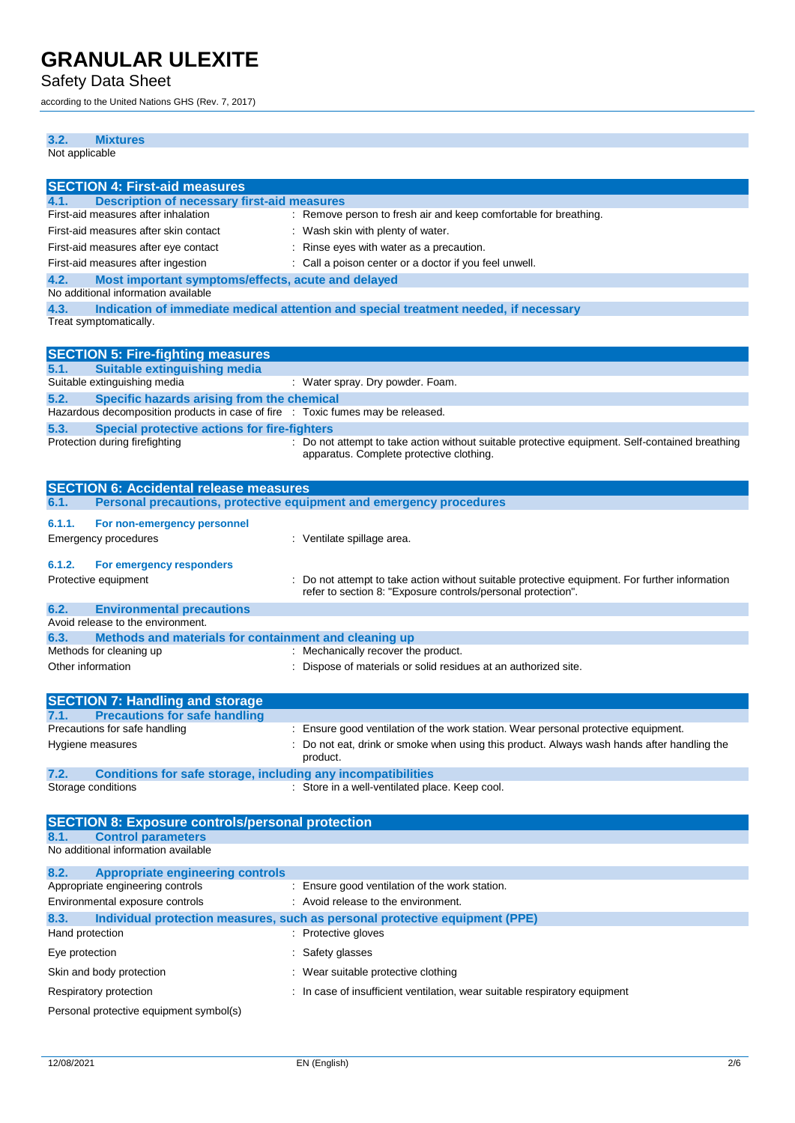## Safety Data Sheet

according to the United Nations GHS (Rev. 7, 2017)

**3.2. Mixtures** Not applicable

| <b>SECTION 4: First-aid measures</b><br><b>Description of necessary first-aid measures</b><br>4.1.                                    |                                                                                                 |  |  |
|---------------------------------------------------------------------------------------------------------------------------------------|-------------------------------------------------------------------------------------------------|--|--|
| First-aid measures after inhalation                                                                                                   | : Remove person to fresh air and keep comfortable for breathing.                                |  |  |
| First-aid measures after skin contact                                                                                                 | : Wash skin with plenty of water.                                                               |  |  |
| First-aid measures after eye contact                                                                                                  | : Rinse eyes with water as a precaution.                                                        |  |  |
| First-aid measures after ingestion                                                                                                    | : Call a poison center or a doctor if you feel unwell.                                          |  |  |
| 4.2.<br>Most important symptoms/effects, acute and delayed                                                                            |                                                                                                 |  |  |
| No additional information available                                                                                                   |                                                                                                 |  |  |
| 4.3.                                                                                                                                  | Indication of immediate medical attention and special treatment needed, if necessary            |  |  |
| Treat symptomatically.                                                                                                                |                                                                                                 |  |  |
|                                                                                                                                       |                                                                                                 |  |  |
| <b>SECTION 5: Fire-fighting measures</b>                                                                                              |                                                                                                 |  |  |
| <b>Suitable extinguishing media</b><br>5.1.                                                                                           |                                                                                                 |  |  |
| Suitable extinguishing media                                                                                                          | : Water spray. Dry powder. Foam.                                                                |  |  |
| 5.2.<br>Specific hazards arising from the chemical<br>Hazardous decomposition products in case of fire : Toxic fumes may be released. |                                                                                                 |  |  |
| 5.3.                                                                                                                                  |                                                                                                 |  |  |
| <b>Special protective actions for fire-fighters</b><br>Protection during firefighting                                                 | : Do not attempt to take action without suitable protective equipment. Self-contained breathing |  |  |
|                                                                                                                                       | apparatus. Complete protective clothing.                                                        |  |  |
|                                                                                                                                       |                                                                                                 |  |  |
| <b>SECTION 6: Accidental release measures</b>                                                                                         |                                                                                                 |  |  |
| 6.1.                                                                                                                                  | Personal precautions, protective equipment and emergency procedures                             |  |  |
| 6.1.1.<br>For non-emergency personnel                                                                                                 |                                                                                                 |  |  |
| <b>Emergency procedures</b>                                                                                                           | : Ventilate spillage area.                                                                      |  |  |
|                                                                                                                                       |                                                                                                 |  |  |
| 6.1.2.<br>For emergency responders                                                                                                    |                                                                                                 |  |  |
| Protective equipment                                                                                                                  | Do not attempt to take action without suitable protective equipment. For further information    |  |  |
|                                                                                                                                       | refer to section 8: "Exposure controls/personal protection".                                    |  |  |
| <b>Environmental precautions</b><br>6.2.                                                                                              |                                                                                                 |  |  |
| Avoid release to the environment.                                                                                                     |                                                                                                 |  |  |
| Methods and materials for containment and cleaning up<br>6.3.<br>Methods for cleaning up                                              | : Mechanically recover the product.                                                             |  |  |
| Other information                                                                                                                     | Dispose of materials or solid residues at an authorized site.                                   |  |  |
|                                                                                                                                       |                                                                                                 |  |  |
| <b>SECTION 7: Handling and storage</b>                                                                                                |                                                                                                 |  |  |
| <b>Precautions for safe handling</b><br>7.1.                                                                                          |                                                                                                 |  |  |
| Precautions for safe handling                                                                                                         | : Ensure good ventilation of the work station. Wear personal protective equipment.              |  |  |
| Hygiene measures                                                                                                                      | Do not eat, drink or smoke when using this product. Always wash hands after handling the        |  |  |
|                                                                                                                                       | product.                                                                                        |  |  |
| <b>Conditions for safe storage, including any incompatibilities</b><br>7.2.                                                           |                                                                                                 |  |  |
| Storage conditions                                                                                                                    | : Store in a well-ventilated place. Keep cool.                                                  |  |  |
|                                                                                                                                       |                                                                                                 |  |  |
| <b>SECTION 8: Exposure controls/personal protection</b>                                                                               |                                                                                                 |  |  |
| <b>Control parameters</b><br>8.1.                                                                                                     |                                                                                                 |  |  |
| No additional information available                                                                                                   |                                                                                                 |  |  |
| 8.2.<br><b>Appropriate engineering controls</b>                                                                                       |                                                                                                 |  |  |
| Appropriate engineering controls                                                                                                      | : Ensure good ventilation of the work station.                                                  |  |  |
| Environmental exposure controls                                                                                                       | : Avoid release to the environment.                                                             |  |  |
| 8.3.                                                                                                                                  | Individual protection measures, such as personal protective equipment (PPE)                     |  |  |
| Hand protection                                                                                                                       | : Protective gloves                                                                             |  |  |
| Eye protection                                                                                                                        | : Safety glasses                                                                                |  |  |
| Skin and body protection                                                                                                              | Wear suitable protective clothing                                                               |  |  |
|                                                                                                                                       |                                                                                                 |  |  |
| Respiratory protection                                                                                                                | In case of insufficient ventilation, wear suitable respiratory equipment                        |  |  |

Personal protective equipment symbol(s)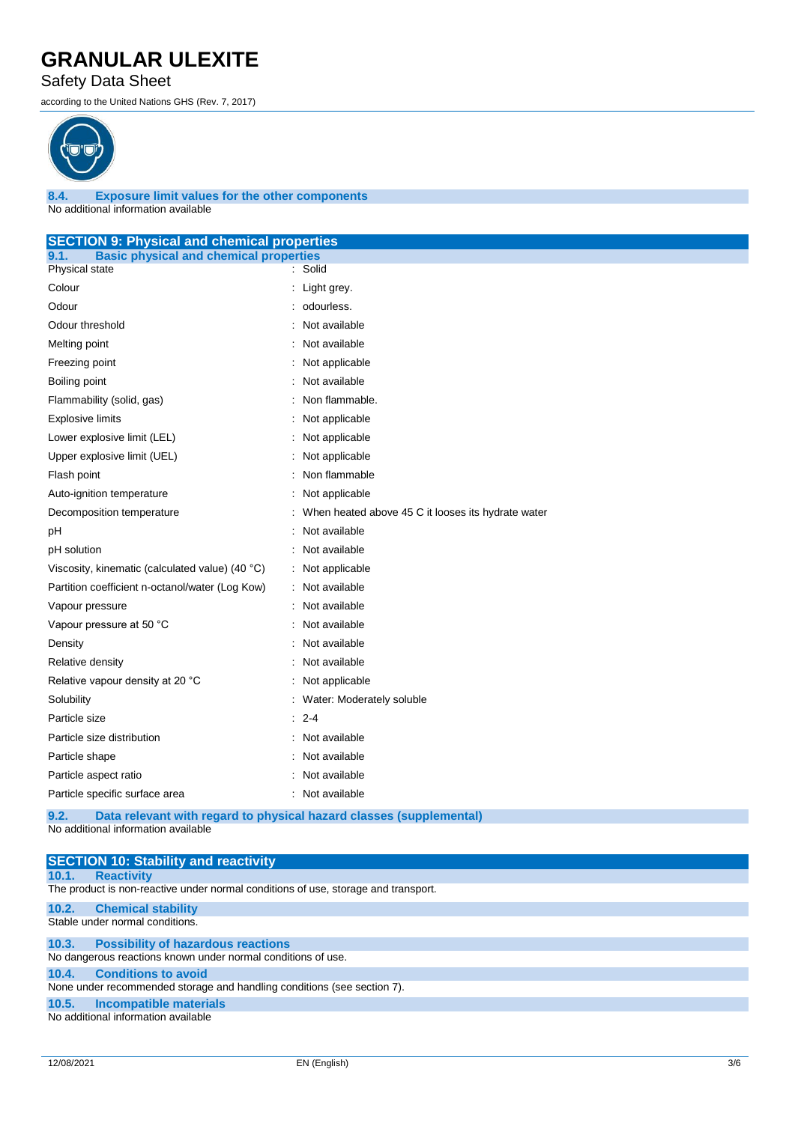### Safety Data Sheet

according to the United Nations GHS (Rev. 7, 2017)



**8.4. Exposure limit values for the other components** No additional information available

| <b>SECTION 9: Physical and chemical properties</b>    |         |                                                    |  |
|-------------------------------------------------------|---------|----------------------------------------------------|--|
| <b>Basic physical and chemical properties</b><br>9.1. |         |                                                    |  |
| Physical state                                        |         | : Solid                                            |  |
| Colour                                                |         | : Light grey.                                      |  |
| Odour                                                 |         | : odourless.                                       |  |
| Odour threshold                                       |         | : Not available                                    |  |
| Melting point                                         |         | : Not available                                    |  |
| Freezing point                                        |         | Not applicable                                     |  |
| Boiling point                                         |         | Not available                                      |  |
| Flammability (solid, gas)                             |         | Non flammable.                                     |  |
| <b>Explosive limits</b>                               |         | Not applicable                                     |  |
| Lower explosive limit (LEL)                           |         | Not applicable                                     |  |
| Upper explosive limit (UEL)                           |         | : Not applicable                                   |  |
| Flash point                                           |         | : Non flammable                                    |  |
| Auto-ignition temperature                             |         | : Not applicable                                   |  |
| Decomposition temperature                             |         | When heated above 45 C it looses its hydrate water |  |
| рH                                                    |         | Not available                                      |  |
| pH solution                                           |         | : Not available                                    |  |
| Viscosity, kinematic (calculated value) (40 °C)       |         | : Not applicable                                   |  |
| Partition coefficient n-octanol/water (Log Kow)       |         | : Not available                                    |  |
| Vapour pressure                                       |         | : Not available                                    |  |
| Vapour pressure at 50 °C                              |         | : Not available                                    |  |
| Density                                               |         | Not available                                      |  |
| Relative density                                      |         | Not available                                      |  |
| Relative vapour density at 20 °C                      |         | Not applicable                                     |  |
| Solubility                                            |         | : Water: Moderately soluble                        |  |
| Particle size                                         | $: 2-4$ |                                                    |  |
| Particle size distribution                            |         | : Not available                                    |  |
| Particle shape                                        |         | : Not available                                    |  |
| Particle aspect ratio                                 |         | Not available                                      |  |
| Particle specific surface area                        |         | : Not available                                    |  |

**9.2. Data relevant with regard to physical hazard classes (supplemental)** No additional information available

|                                                                                    | <b>SECTION 10: Stability and reactivity</b> |  |  |  |
|------------------------------------------------------------------------------------|---------------------------------------------|--|--|--|
| 10.1.                                                                              | <b>Reactivity</b>                           |  |  |  |
| The product is non-reactive under normal conditions of use, storage and transport. |                                             |  |  |  |
| 10.2.                                                                              | <b>Chemical stability</b>                   |  |  |  |
|                                                                                    | Stable under normal conditions.             |  |  |  |
| 10.3.                                                                              | <b>Possibility of hazardous reactions</b>   |  |  |  |
| No dangerous reactions known under normal conditions of use.                       |                                             |  |  |  |
| 10.4.                                                                              | <b>Conditions to avoid</b>                  |  |  |  |
| None under recommended storage and handling conditions (see section 7).            |                                             |  |  |  |
| 10.5.                                                                              | <b>Incompatible materials</b>               |  |  |  |
| No additional information available                                                |                                             |  |  |  |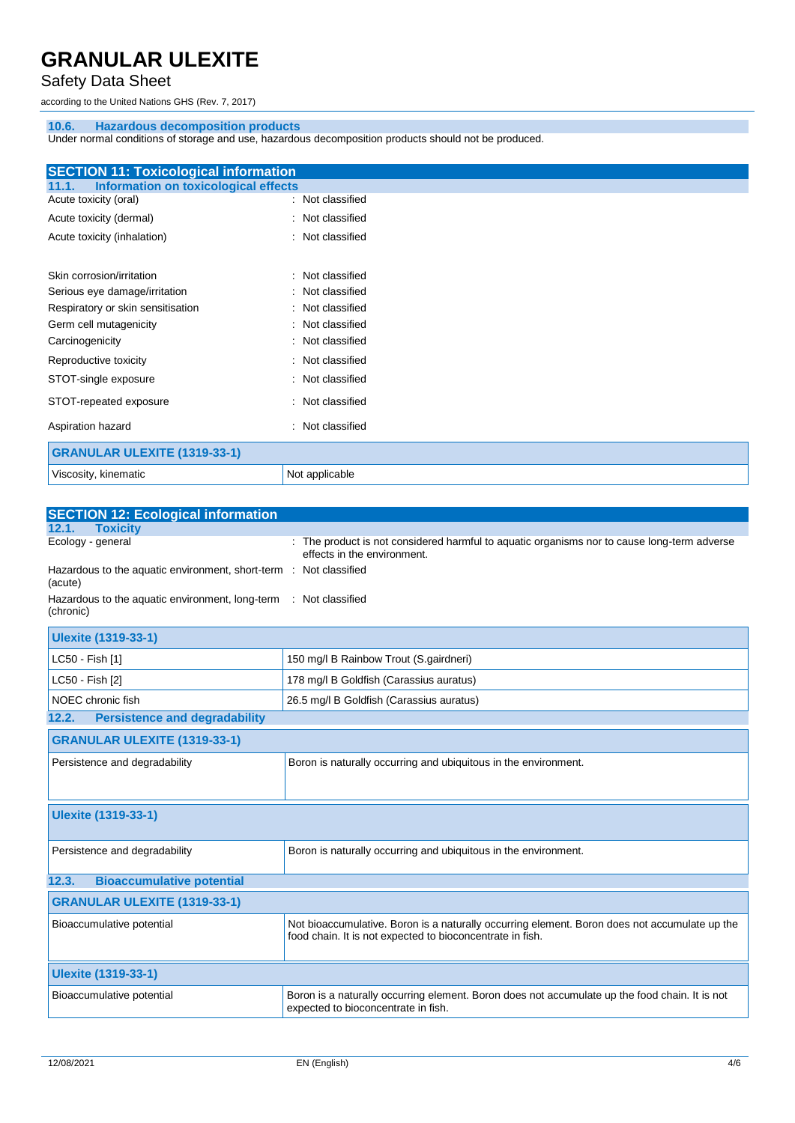### Safety Data Sheet

according to the United Nations GHS (Rev. 7, 2017)

#### **10.6. Hazardous decomposition products**

Under normal conditions of storage and use, hazardous decomposition products should not be produced.

| <b>SECTION 11: Toxicological information</b>  |                  |
|-----------------------------------------------|------------------|
| Information on toxicological effects<br>11.1. |                  |
| Acute toxicity (oral)                         | : Not classified |
| Acute toxicity (dermal)                       | : Not classified |
| Acute toxicity (inhalation)                   | : Not classified |
|                                               |                  |
| Skin corrosion/irritation                     | : Not classified |
| Serious eye damage/irritation                 | : Not classified |
| Respiratory or skin sensitisation             | : Not classified |
| Germ cell mutagenicity                        | : Not classified |
| Carcinogenicity                               | : Not classified |
| Reproductive toxicity                         | : Not classified |
| STOT-single exposure                          | : Not classified |
| STOT-repeated exposure                        | : Not classified |
| Aspiration hazard                             | Not classified   |
| <b>GRANULAR ULEXITE (1319-33-1)</b>           |                  |
| Viscosity, kinematic                          | Not applicable   |

| <b>SECTION 12: Ecological information</b>                                    |                                                                                                                                                            |
|------------------------------------------------------------------------------|------------------------------------------------------------------------------------------------------------------------------------------------------------|
| <b>Toxicity</b><br>12.1.                                                     |                                                                                                                                                            |
| Ecology - general                                                            | : The product is not considered harmful to aquatic organisms nor to cause long-term adverse<br>effects in the environment.                                 |
| Hazardous to the aquatic environment, short-term : Not classified<br>(acute) |                                                                                                                                                            |
| Hazardous to the aquatic environment, long-term<br>(chronic)                 | : Not classified                                                                                                                                           |
| <b>Ulexite (1319-33-1)</b>                                                   |                                                                                                                                                            |
| LC50 - Fish [1]                                                              | 150 mg/l B Rainbow Trout (S.gairdneri)                                                                                                                     |
| LC50 - Fish [2]                                                              | 178 mg/l B Goldfish (Carassius auratus)                                                                                                                    |
| NOEC chronic fish                                                            | 26.5 mg/l B Goldfish (Carassius auratus)                                                                                                                   |
| <b>Persistence and degradability</b><br>12.2.                                |                                                                                                                                                            |
| <b>GRANULAR ULEXITE (1319-33-1)</b>                                          |                                                                                                                                                            |
| Persistence and degradability                                                | Boron is naturally occurring and ubiquitous in the environment.                                                                                            |
| <b>Ulexite (1319-33-1)</b>                                                   |                                                                                                                                                            |
| Persistence and degradability                                                | Boron is naturally occurring and ubiquitous in the environment.                                                                                            |
| <b>Bioaccumulative potential</b><br>12.3.                                    |                                                                                                                                                            |
| <b>GRANULAR ULEXITE (1319-33-1)</b>                                          |                                                                                                                                                            |
| Bioaccumulative potential                                                    | Not bioaccumulative. Boron is a naturally occurring element. Boron does not accumulate up the<br>food chain. It is not expected to bioconcentrate in fish. |
| <b>Ulexite (1319-33-1)</b>                                                   |                                                                                                                                                            |
| Bioaccumulative potential                                                    | Boron is a naturally occurring element. Boron does not accumulate up the food chain. It is not<br>expected to bioconcentrate in fish.                      |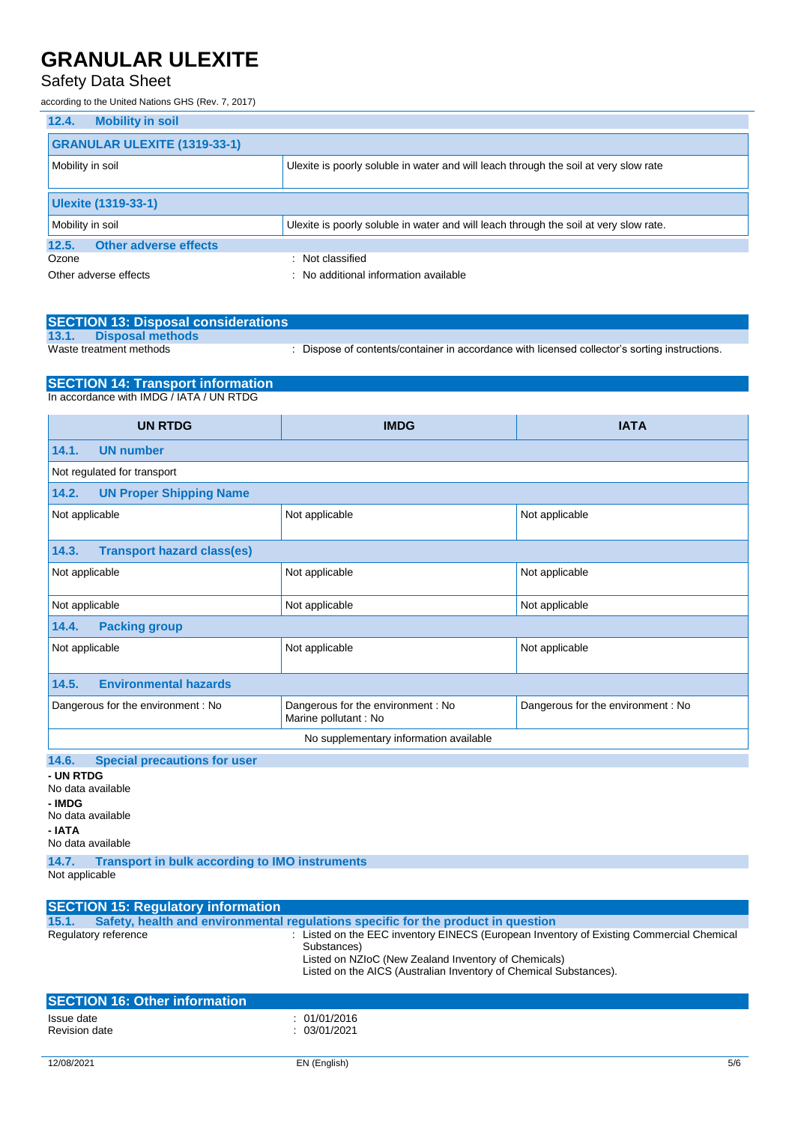## Safety Data Sheet

according to the United Nations GHS (Rev. 7, 2017)

| 12.4.<br><b>Mobility in soil</b>      |                                                                                       |
|---------------------------------------|---------------------------------------------------------------------------------------|
| <b>GRANULAR ULEXITE (1319-33-1)</b>   |                                                                                       |
| Mobility in soil                      | Ulexite is poorly soluble in water and will leach through the soil at very slow rate  |
| Ulexite (1319-33-1)                   |                                                                                       |
| Mobility in soil                      | Ulexite is poorly soluble in water and will leach through the soil at very slow rate. |
| <b>Other adverse effects</b><br>12.5. |                                                                                       |
| Ozone                                 | Not classified<br>$\bullet$                                                           |
| Other adverse effects                 | : No additional information available                                                 |

| <b>SECTION 13: Disposal considerations</b> |                                                                                               |
|--------------------------------------------|-----------------------------------------------------------------------------------------------|
| 13.1.<br><b>Disposal methods</b>           |                                                                                               |
| Waste treatment methods                    | : Dispose of contents/container in accordance with licensed collector's sorting instructions. |

### **SECTION 14: Transport information**

In accordance with IMDG / IATA / UN RTDG

| <b>UN RTDG</b>                               | <b>IMDG</b>                                                 | <b>IATA</b>                        |  |  |
|----------------------------------------------|-------------------------------------------------------------|------------------------------------|--|--|
| 14.1.<br><b>UN number</b>                    |                                                             |                                    |  |  |
| Not regulated for transport                  |                                                             |                                    |  |  |
| <b>UN Proper Shipping Name</b><br>14.2.      |                                                             |                                    |  |  |
| Not applicable                               | Not applicable                                              | Not applicable                     |  |  |
| <b>Transport hazard class(es)</b><br>14.3.   |                                                             |                                    |  |  |
| Not applicable                               | Not applicable                                              | Not applicable                     |  |  |
| Not applicable                               | Not applicable                                              | Not applicable                     |  |  |
| <b>Packing group</b><br>14.4.                |                                                             |                                    |  |  |
| Not applicable                               | Not applicable                                              | Not applicable                     |  |  |
| <b>Environmental hazards</b><br>14.5.        |                                                             |                                    |  |  |
| Dangerous for the environment : No           | Dangerous for the environment : No<br>Marine pollutant : No | Dangerous for the environment : No |  |  |
| No supplementary information available       |                                                             |                                    |  |  |
| 14.6.<br><b>Special precautions for user</b> |                                                             |                                    |  |  |
| - UN RTDG                                    |                                                             |                                    |  |  |

No data available **- IMDG** No data available **- IATA**

No data available

**14.7. Transport in bulk according to IMO instruments**

Not applicable

| <b>SECTION 15: Regulatory information</b> |                                                                                                                                                                                                                                      |
|-------------------------------------------|--------------------------------------------------------------------------------------------------------------------------------------------------------------------------------------------------------------------------------------|
| 15.1.                                     | Safety, health and environmental regulations specific for the product in question                                                                                                                                                    |
| Regulatory reference                      | : Listed on the EEC inventory EINECS (European Inventory of Existing Commercial Chemical<br>Substances)<br>Listed on NZIoC (New Zealand Inventory of Chemicals)<br>Listed on the AICS (Australian Inventory of Chemical Substances). |
| <b>SECTION 16: Other information</b>      |                                                                                                                                                                                                                                      |
| Issue date<br>Revision date               | : 01/01/2016<br>: 03/01/2021                                                                                                                                                                                                         |